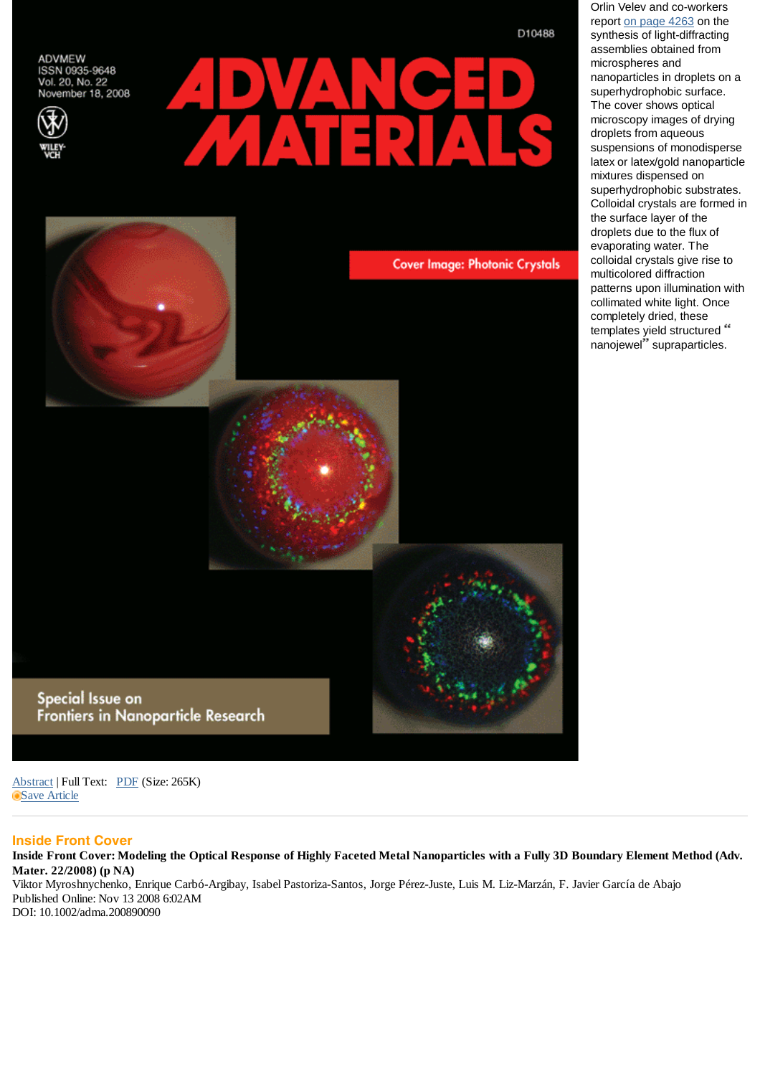ADVMEW ISSN 0935-9648 Vol. 20, No. 22 November 18, 2008





## **Cover Image: Photonic Crystals**

Special Issue on Frontiers in Nanoparticle Research D10488

report on page 4263 on the synthesis of light-diffracting assemblies obtained from microspheres and nanoparticles in droplets on a superhydrophobic surface. The cover shows optical microscopy images of drying droplets from aqueous suspensions of monodisperse latex or latex/gold nanoparticle mixtures dispensed on superhydrophobic substrates. Colloidal crystals are formed in the surface layer of the droplets due to the flux of evaporating water. The colloidal crystals give rise to multicolored diffraction patterns upon illumination with collimated white light. Once completely dried, these templates yield structured " nanojewel" supraparticles.

Orlin Velev and co-workers